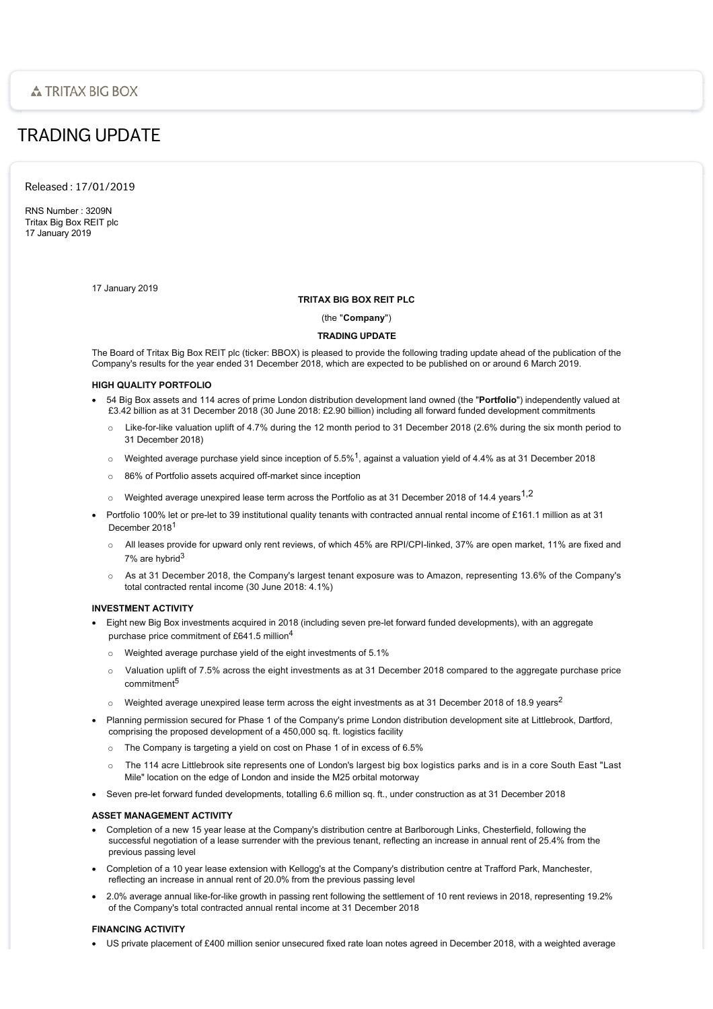# TRADING UPDATE

Released : 17/01/2019

RNS Number : 3209N Tritax Big Box REIT plc 17 January 2019

17 January 2019

## **TRITAX BIG BOX REIT PLC**

(the "**Company**")

# **TRADING UPDATE**

The Board of Tritax Big Box REIT plc (ticker: BBOX) is pleased to provide the following trading update ahead of the publication of the Company's results for the year ended 31 December 2018, which are expected to be published on or around 6 March 2019.

# **HIGH QUALITY PORTFOLIO**

- · 54 Big Box assets and 114 acres of prime London distribution development land owned (the "**Portfolio**") independently valued at £3.42 billion as at 31 December 2018 (30 June 2018: £2.90 billion) including all forward funded development commitments
	- $\circ$  Like-for-like valuation uplift of 4.7% during the 12 month period to 31 December 2018 (2.6% during the six month period to 31 December 2018)
	- $\circ$  Weighted average purchase yield since inception of 5.5%<sup>1</sup>, against a valuation yield of 4.4% as at 31 December 2018
	- o 86% of Portfolio assets acquired off-market since inception
	- Weighted average unexpired lease term across the Portfolio as at 31 December 2018 of 14.4 years<sup>1,2</sup>
- Portfolio 100% let or pre-let to 39 institutional quality tenants with contracted annual rental income of £161.1 million as at 31 December 2018<sup>1</sup>
	- o All leases provide for upward only rent reviews, of which 45% are RPI/CPI-linked, 37% are open market, 11% are fixed and 7% are hybrid<sup>3</sup>
	- o As at 31 December 2018, the Company's largest tenant exposure was to Amazon, representing 13.6% of the Company's total contracted rental income (30 June 2018: 4.1%)

# **INVESTMENT ACTIVITY**

- · Eight new Big Box investments acquired in 2018 (including seven pre-let forward funded developments), with an aggregate purchase price commitment of £641.5 million<sup>4</sup>
	- o Weighted average purchase yield of the eight investments of 5.1%
	- $\circ$  Valuation uplift of 7.5% across the eight investments as at 31 December 2018 compared to the aggregate purchase price commitment<sup>5</sup>
	- $\circ$  Weighted average unexpired lease term across the eight investments as at 31 December 2018 of 18.9 years<sup>2</sup>
- · Planning permission secured for Phase 1 of the Company's prime London distribution development site at Littlebrook, Dartford, comprising the proposed development of a 450,000 sq. ft. logistics facility
	- o The Company is targeting a yield on cost on Phase 1 of in excess of 6.5%
	- The 114 acre Littlebrook site represents one of London's largest big box logistics parks and is in a core South East "Last Mile" location on the edge of London and inside the M25 orbital motorway
- Seven pre-let forward funded developments, totalling 6.6 million sq. ft., under construction as at 31 December 2018

## **ASSET MANAGEMENT ACTIVITY**

- · Completion of a new 15 year lease at the Company's distribution centre at Barlborough Links, Chesterfield, following the successful negotiation of a lease surrender with the previous tenant, reflecting an increase in annual rent of 25.4% from the previous passing level
- · Completion of a 10 year lease extension with Kellogg's at the Company's distribution centre at Trafford Park, Manchester, reflecting an increase in annual rent of 20.0% from the previous passing level
- · 2.0% average annual like-for-like growth in passing rent following the settlement of 10 rent reviews in 2018, representing 19.2% of the Company's total contracted annual rental income at 31 December 2018

### **FINANCING ACTIVITY**

· US private placement of £400 million senior unsecured fixed rate loan notes agreed in December 2018, with a weighted average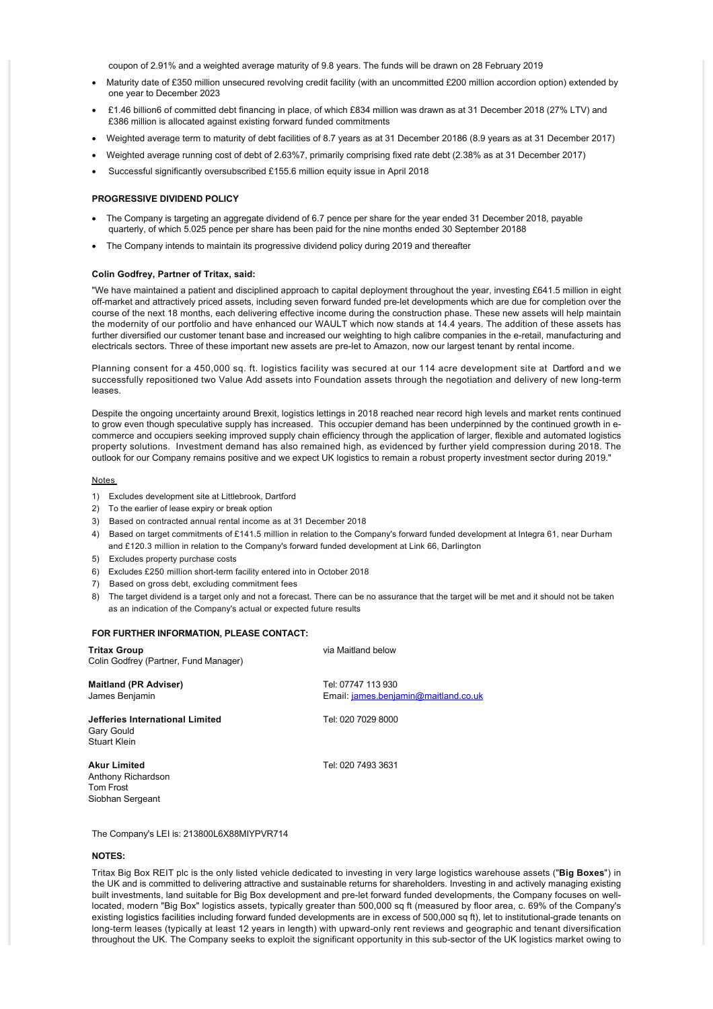coupon of 2.91% and a weighted average maturity of 9.8 years. The funds will be drawn on 28 February 2019

- · Maturity date of £350 million unsecured revolving credit facility (with an uncommitted £200 million accordion option) extended by one year to December 2023
- · £1.46 billion6 of committed debt financing in place, of which £834 million was drawn as at 31 December 2018 (27% LTV) and £386 million is allocated against existing forward funded commitments
- · Weighted average term to maturity of debt facilities of 8.7 years as at 31 December 20186 (8.9 years as at 31 December 2017)
- · Weighted average running cost of debt of 2.63%7, primarily comprising fixed rate debt (2.38% as at 31 December 2017)
- Successful significantly oversubscribed £155.6 million equity issue in April 2018

#### **PROGRESSIVE DIVIDEND POLICY**

- · The Company is targeting an aggregate dividend of 6.7 pence per share for the year ended 31 December 2018, payable quarterly, of which 5.025 pence per share has been paid for the nine months ended 30 September 20188
- · The Company intends to maintain its progressive dividend policy during 2019 and thereafter

#### **Colin Godfrey, Partner of Tritax, said:**

"We have maintained a patient and disciplined approach to capital deployment throughout the year, investing £641.5 million in eight off-market and attractively priced assets, including seven forward funded pre-let developments which are due for completion over the course of the next 18 months, each delivering effective income during the construction phase. These new assets will help maintain the modernity of our portfolio and have enhanced our WAULT which now stands at 14.4 years. The addition of these assets has further diversified our customer tenant base and increased our weighting to high calibre companies in the e-retail, manufacturing and electricals sectors. Three of these important new assets are pre-let to Amazon, now our largest tenant by rental income.

Planning consent for a 450,000 sq. ft. logistics facility was secured at our 114 acre development site at Dartford and we successfully repositioned two Value Add assets into Foundation assets through the negotiation and delivery of new long-term leases.

Despite the ongoing uncertainty around Brexit, logistics lettings in 2018 reached near record high levels and market rents continued to grow even though speculative supply has increased. This occupier demand has been underpinned by the continued growth in ecommerce and occupiers seeking improved supply chain efficiency through the application of larger, flexible and automated logistics property solutions. Investment demand has also remained high, as evidenced by further yield compression during 2018. The outlook for our Company remains positive and we expect UK logistics to remain a robust property investment sector during 2019."

### Notes

- 1) Excludes development site at Littlebrook, Dartford
- 2) To the earlier of lease expiry or break option
- 3) Based on contracted annual rental income as at 31 December 2018
- 4) Based on target commitments of £141.5 million in relation to the Company's forward funded development at Integra 61, near Durham and £120.3 million in relation to the Company's forward funded development at Link 66, Darlington
- 5) Excludes property purchase costs
- 6) Excludes £250 million short-term facility entered into in October 2018
- 7) Based on gross debt, excluding commitment fees
- 8) The target dividend is a target only and not a forecast. There can be no assurance that the target will be met and it should not be taken as an indication of the Company's actual or expected future results

#### **FOR FURTHER INFORMATION, PLEASE CONTACT:**

| <b>Tritax Group</b><br>Colin Godfrey (Partner, Fund Manager)               | via Maitland below                                         |
|----------------------------------------------------------------------------|------------------------------------------------------------|
| <b>Maitland (PR Adviser)</b><br>James Benjamin                             | Tel: 07747 113 930<br>Email: james.benjamin@maitland.co.uk |
| Jefferies International Limited<br>Gary Gould<br>Stuart Klein              | Tel: 020 7029 8000                                         |
| <b>Akur Limited</b><br>Anthony Richardson<br>Tom Frost<br>Siobhan Sergeant | Tel: 020 7493 3631                                         |

The Company's LEI is: 213800L6X88MIYPVR714

## **NOTES:**

Tritax Big Box REIT plc is the only listed vehicle dedicated to investing in very large logistics warehouse assets ("**Big Boxes**") in the UK and is committed to delivering attractive and sustainable returns for shareholders. Investing in and actively managing existing built investments, land suitable for Big Box development and pre-let forward funded developments, the Company focuses on welllocated, modern "Big Box" logistics assets, typically greater than 500,000 sq ft (measured by floor area, c. 69% of the Company's existing logistics facilities including forward funded developments are in excess of 500,000 sq ft), let to institutional-grade tenants on long-term leases (typically at least 12 years in length) with upward-only rent reviews and geographic and tenant diversification throughout the UK. The Company seeks to exploit the significant opportunity in this sub-sector of the UK logistics market owing to